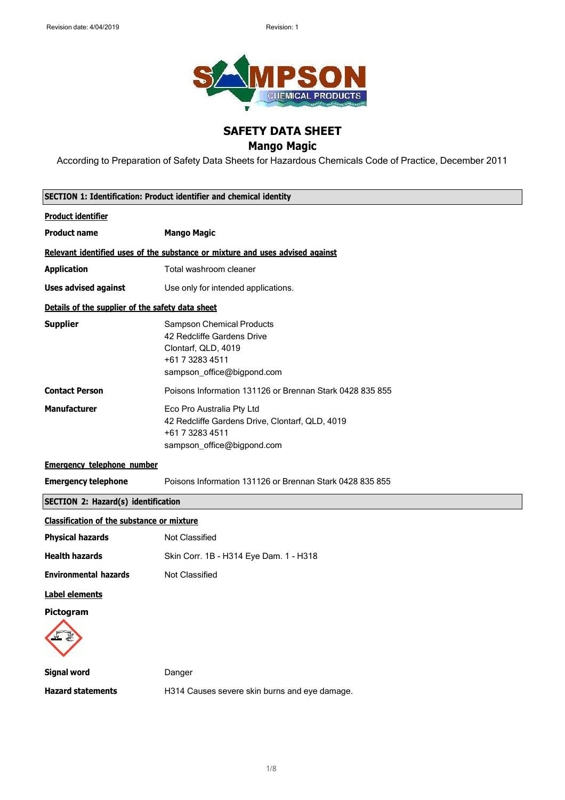

# **SAFETY DATA SHEET**

## **Mango Magic**

According to Preparation of Safety Data Sheets for Hazardous Chemicals Code of Practice, December 2011

|                                                   | SECTION 1: Identification: Product identifier and chemical identity                                                                    |
|---------------------------------------------------|----------------------------------------------------------------------------------------------------------------------------------------|
| <b>Product identifier</b>                         |                                                                                                                                        |
| <b>Product name</b>                               | <b>Mango Magic</b>                                                                                                                     |
|                                                   | Relevant identified uses of the substance or mixture and uses advised against                                                          |
| <b>Application</b>                                | Total washroom cleaner                                                                                                                 |
| <b>Uses advised against</b>                       | Use only for intended applications.                                                                                                    |
| Details of the supplier of the safety data sheet  |                                                                                                                                        |
| <b>Supplier</b>                                   | <b>Sampson Chemical Products</b><br>42 Redcliffe Gardens Drive<br>Clontarf, QLD, 4019<br>+61 7 3283 4511<br>sampson_office@bigpond.com |
| <b>Contact Person</b>                             | Poisons Information 131126 or Brennan Stark 0428 835 855                                                                               |
| <b>Manufacturer</b>                               | Eco Pro Australia Pty Ltd<br>42 Redcliffe Gardens Drive, Clontarf, QLD, 4019<br>+61 7 3283 4511<br>sampson_office@bigpond.com          |
| <b>Emergency telephone number</b>                 |                                                                                                                                        |
| <b>Emergency telephone</b>                        | Poisons Information 131126 or Brennan Stark 0428 835 855                                                                               |
| <b>SECTION 2: Hazard(s) identification</b>        |                                                                                                                                        |
| <b>Classification of the substance or mixture</b> |                                                                                                                                        |
| <b>Physical hazards</b>                           | Not Classified                                                                                                                         |
| <b>Health hazards</b>                             | Skin Corr. 1B - H314 Eye Dam. 1 - H318                                                                                                 |
| <b>Environmental hazards</b>                      | <b>Not Classified</b>                                                                                                                  |
| <b>Label elements</b>                             |                                                                                                                                        |
| Pictoaram                                         |                                                                                                                                        |
| <b>Signal word</b>                                | Danger                                                                                                                                 |
| <b>Hazard statements</b>                          | H314 Causes severe skin burns and eye damage.                                                                                          |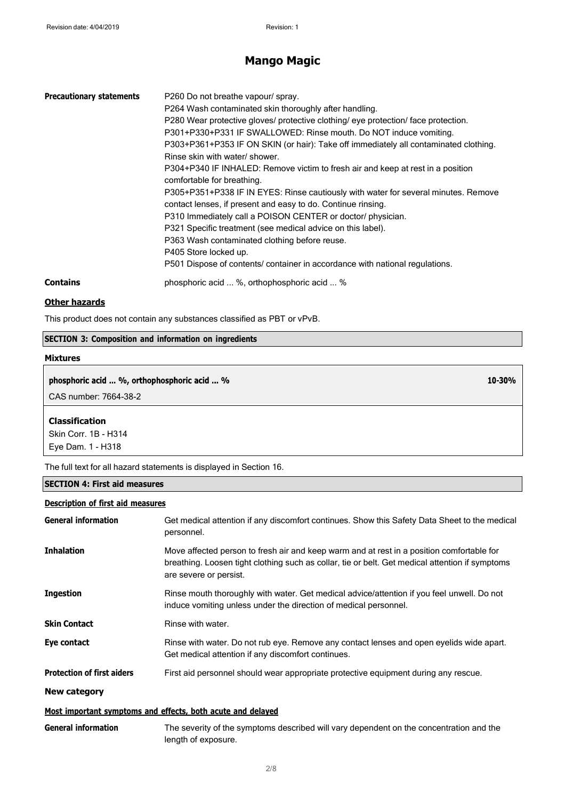## **Mango Magic**

| <b>Precautionary statements</b> | P260 Do not breathe vapour/ spray.<br>P264 Wash contaminated skin thoroughly after handling.<br>P280 Wear protective gloves/ protective clothing/ eye protection/ face protection.<br>P301+P330+P331 IF SWALLOWED: Rinse mouth. Do NOT induce vomiting.<br>P303+P361+P353 IF ON SKIN (or hair): Take off immediately all contaminated clothing.<br>Rinse skin with water/ shower.<br>P304+P340 IF INHALED: Remove victim to fresh air and keep at rest in a position<br>comfortable for breathing.<br>P305+P351+P338 IF IN EYES: Rinse cautiously with water for several minutes. Remove<br>contact lenses, if present and easy to do. Continue rinsing.<br>P310 Immediately call a POISON CENTER or doctor/ physician.<br>P321 Specific treatment (see medical advice on this label).<br>P363 Wash contaminated clothing before reuse.<br>P405 Store locked up.<br>P501 Dispose of contents/ container in accordance with national regulations. |
|---------------------------------|--------------------------------------------------------------------------------------------------------------------------------------------------------------------------------------------------------------------------------------------------------------------------------------------------------------------------------------------------------------------------------------------------------------------------------------------------------------------------------------------------------------------------------------------------------------------------------------------------------------------------------------------------------------------------------------------------------------------------------------------------------------------------------------------------------------------------------------------------------------------------------------------------------------------------------------------------|
| <b>Contains</b>                 | phosphoric acid  %, orthophosphoric acid  %                                                                                                                                                                                                                                                                                                                                                                                                                                                                                                                                                                                                                                                                                                                                                                                                                                                                                                      |

10-30%

### **Other hazards**

This product does not contain any substances classified as PBT or vPvB.

### **SECTION 3: Composition and information on ingredients**

#### **Mixtures**

phosphoric acid ... %, orthophosphoric acid ... %

CAS number: 7664-38-2

#### **Classification**

Skin Corr. 1B - H314 Eye Dam. 1 - H318

The full text for all hazard statements is displayed in Section 16.

### **SECTION 4: First aid measures**

### **Description of first aid measures**

| <b>General information</b>        | Get medical attention if any discomfort continues. Show this Safety Data Sheet to the medical<br>personnel.                                                                                                            |
|-----------------------------------|------------------------------------------------------------------------------------------------------------------------------------------------------------------------------------------------------------------------|
| <b>Inhalation</b>                 | Move affected person to fresh air and keep warm and at rest in a position comfortable for<br>breathing. Loosen tight clothing such as collar, tie or belt. Get medical attention if symptoms<br>are severe or persist. |
| <b>Ingestion</b>                  | Rinse mouth thoroughly with water. Get medical advice/attention if you feel unwell. Do not<br>induce vomiting unless under the direction of medical personnel.                                                         |
| <b>Skin Contact</b>               | Rinse with water.                                                                                                                                                                                                      |
| Eye contact                       | Rinse with water. Do not rub eye. Remove any contact lenses and open eyelids wide apart.<br>Get medical attention if any discomfort continues.                                                                         |
| <b>Protection of first aiders</b> | First aid personnel should wear appropriate protective equipment during any rescue.                                                                                                                                    |
| New category                      |                                                                                                                                                                                                                        |
|                                   | Most important symptoms and effects, both acute and delayed                                                                                                                                                            |
| <b>General information</b>        | The severity of the symptoms described will vary dependent on the concentration and the<br>length of exposure.                                                                                                         |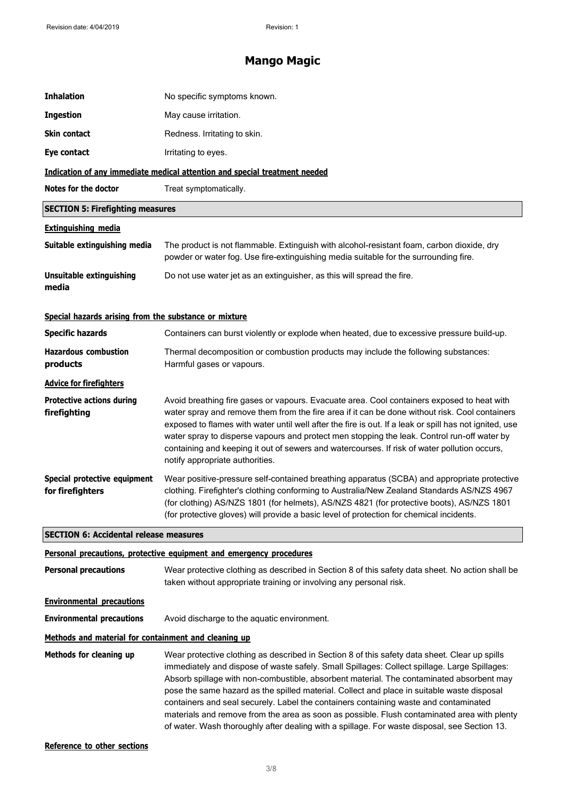## **Mango Magic**

| <b>Inhalation</b>                                     | No specific symptoms known.                                                                                                                                                                                                                                                                                                                                                                                                                                                                                                                                                                                                                                                    |
|-------------------------------------------------------|--------------------------------------------------------------------------------------------------------------------------------------------------------------------------------------------------------------------------------------------------------------------------------------------------------------------------------------------------------------------------------------------------------------------------------------------------------------------------------------------------------------------------------------------------------------------------------------------------------------------------------------------------------------------------------|
| <b>Ingestion</b>                                      | May cause irritation.                                                                                                                                                                                                                                                                                                                                                                                                                                                                                                                                                                                                                                                          |
| Skin contact                                          | Redness. Irritating to skin.                                                                                                                                                                                                                                                                                                                                                                                                                                                                                                                                                                                                                                                   |
| Eye contact                                           | Irritating to eyes.                                                                                                                                                                                                                                                                                                                                                                                                                                                                                                                                                                                                                                                            |
|                                                       | Indication of any immediate medical attention and special treatment needed                                                                                                                                                                                                                                                                                                                                                                                                                                                                                                                                                                                                     |
| <b>Notes for the doctor</b>                           | Treat symptomatically.                                                                                                                                                                                                                                                                                                                                                                                                                                                                                                                                                                                                                                                         |
| <b>SECTION 5: Firefighting measures</b>               |                                                                                                                                                                                                                                                                                                                                                                                                                                                                                                                                                                                                                                                                                |
| <b>Extinguishing media</b>                            |                                                                                                                                                                                                                                                                                                                                                                                                                                                                                                                                                                                                                                                                                |
| Suitable extinguishing media                          | The product is not flammable. Extinguish with alcohol-resistant foam, carbon dioxide, dry<br>powder or water fog. Use fire-extinguishing media suitable for the surrounding fire.                                                                                                                                                                                                                                                                                                                                                                                                                                                                                              |
| <b>Unsuitable extinguishing</b><br>media              | Do not use water jet as an extinguisher, as this will spread the fire.                                                                                                                                                                                                                                                                                                                                                                                                                                                                                                                                                                                                         |
| Special hazards arising from the substance or mixture |                                                                                                                                                                                                                                                                                                                                                                                                                                                                                                                                                                                                                                                                                |
| <b>Specific hazards</b>                               | Containers can burst violently or explode when heated, due to excessive pressure build-up.                                                                                                                                                                                                                                                                                                                                                                                                                                                                                                                                                                                     |
| <b>Hazardous combustion</b><br>products               | Thermal decomposition or combustion products may include the following substances:<br>Harmful gases or vapours.                                                                                                                                                                                                                                                                                                                                                                                                                                                                                                                                                                |
| <b>Advice for firefighters</b>                        |                                                                                                                                                                                                                                                                                                                                                                                                                                                                                                                                                                                                                                                                                |
| <b>Protective actions during</b><br>firefighting      | Avoid breathing fire gases or vapours. Evacuate area. Cool containers exposed to heat with<br>water spray and remove them from the fire area if it can be done without risk. Cool containers<br>exposed to flames with water until well after the fire is out. If a leak or spill has not ignited, use<br>water spray to disperse vapours and protect men stopping the leak. Control run-off water by<br>containing and keeping it out of sewers and watercourses. If risk of water pollution occurs,<br>notify appropriate authorities.                                                                                                                                       |
| Special protective equipment<br>for firefighters      | Wear positive-pressure self-contained breathing apparatus (SCBA) and appropriate protective<br>clothing. Firefighter's clothing conforming to Australia/New Zealand Standards AS/NZS 4967<br>(for clothing) AS/NZS 1801 (for helmets), AS/NZS 4821 (for protective boots), AS/NZS 1801<br>(for protective gloves) will provide a basic level of protection for chemical incidents.                                                                                                                                                                                                                                                                                             |
| <b>SECTION 6: Accidental release measures</b>         |                                                                                                                                                                                                                                                                                                                                                                                                                                                                                                                                                                                                                                                                                |
|                                                       | Personal precautions, protective equipment and emergency procedures                                                                                                                                                                                                                                                                                                                                                                                                                                                                                                                                                                                                            |
| <b>Personal precautions</b>                           | Wear protective clothing as described in Section 8 of this safety data sheet. No action shall be<br>taken without appropriate training or involving any personal risk.                                                                                                                                                                                                                                                                                                                                                                                                                                                                                                         |
| <b>Environmental precautions</b>                      |                                                                                                                                                                                                                                                                                                                                                                                                                                                                                                                                                                                                                                                                                |
| <b>Environmental precautions</b>                      | Avoid discharge to the aquatic environment.                                                                                                                                                                                                                                                                                                                                                                                                                                                                                                                                                                                                                                    |
| Methods and material for containment and cleaning up  |                                                                                                                                                                                                                                                                                                                                                                                                                                                                                                                                                                                                                                                                                |
| Methods for cleaning up                               | Wear protective clothing as described in Section 8 of this safety data sheet. Clear up spills<br>immediately and dispose of waste safely. Small Spillages: Collect spillage. Large Spillages:<br>Absorb spillage with non-combustible, absorbent material. The contaminated absorbent may<br>pose the same hazard as the spilled material. Collect and place in suitable waste disposal<br>containers and seal securely. Label the containers containing waste and contaminated<br>materials and remove from the area as soon as possible. Flush contaminated area with plenty<br>of water. Wash thoroughly after dealing with a spillage. For waste disposal, see Section 13. |

**Reference to other sections**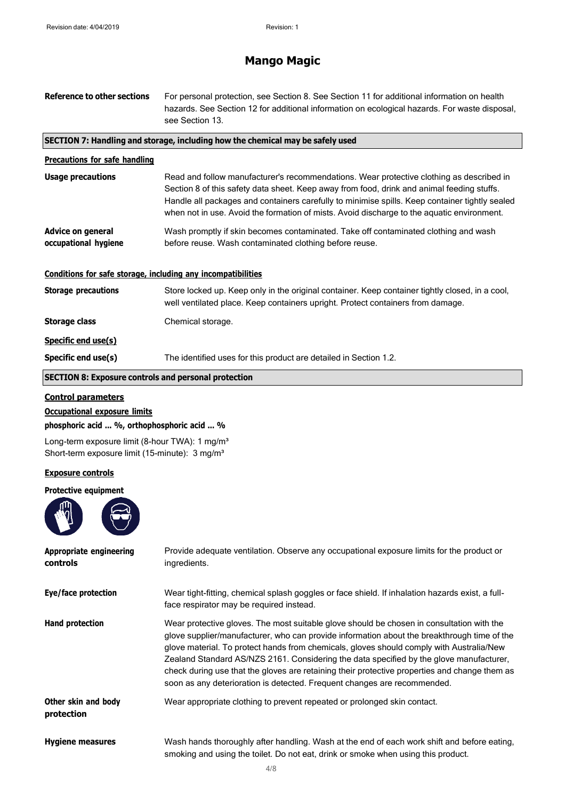### **Mango Magic**

| <b>Reference to other sections</b>                           | For personal protection, see Section 8. See Section 11 for additional information on health<br>hazards. See Section 12 for additional information on ecological hazards. For waste disposal,<br>see Section 13.                                                                                                                                                                        |
|--------------------------------------------------------------|----------------------------------------------------------------------------------------------------------------------------------------------------------------------------------------------------------------------------------------------------------------------------------------------------------------------------------------------------------------------------------------|
|                                                              | SECTION 7: Handling and storage, including how the chemical may be safely used                                                                                                                                                                                                                                                                                                         |
| <b>Precautions for safe handling</b>                         |                                                                                                                                                                                                                                                                                                                                                                                        |
| <b>Usage precautions</b>                                     | Read and follow manufacturer's recommendations. Wear protective clothing as described in<br>Section 8 of this safety data sheet. Keep away from food, drink and animal feeding stuffs.<br>Handle all packages and containers carefully to minimise spills. Keep container tightly sealed<br>when not in use. Avoid the formation of mists. Avoid discharge to the aquatic environment. |
| <b>Advice on general</b><br>occupational hygiene             | Wash promptly if skin becomes contaminated. Take off contaminated clothing and wash<br>before reuse. Wash contaminated clothing before reuse.                                                                                                                                                                                                                                          |
| Conditions for safe storage, including any incompatibilities |                                                                                                                                                                                                                                                                                                                                                                                        |
| <b>Storage precautions</b>                                   | Store locked up. Keep only in the original container. Keep container tightly closed, in a cool,<br>well ventilated place. Keep containers upright. Protect containers from damage.                                                                                                                                                                                                     |
| Storage class                                                | Chemical storage.                                                                                                                                                                                                                                                                                                                                                                      |
| Specific end use(s)                                          |                                                                                                                                                                                                                                                                                                                                                                                        |
| Specific end use(s)                                          | The identified uses for this product are detailed in Section 1.2.                                                                                                                                                                                                                                                                                                                      |
| <b>SECTION 8: Exposure controls and personal protection</b>  |                                                                                                                                                                                                                                                                                                                                                                                        |
|                                                              |                                                                                                                                                                                                                                                                                                                                                                                        |

```
Control parameters
```
### **Occupational exposure limits**

**phosphoric acid ... %, orthophosphoric acid ... %**

Long-term exposure limit (8-hour TWA): 1 mg/m<sup>3</sup> Short-term exposure limit (15-minute): 3 mg/m<sup>3</sup>

### **Exposure controls**

#### **Protective equipment**



| Appropriate engineering<br>controls | Provide adequate ventilation. Observe any occupational exposure limits for the product or<br>ingredients.                                                                                                                                                                                                                                                                                                                                                                                                                                                    |
|-------------------------------------|--------------------------------------------------------------------------------------------------------------------------------------------------------------------------------------------------------------------------------------------------------------------------------------------------------------------------------------------------------------------------------------------------------------------------------------------------------------------------------------------------------------------------------------------------------------|
| Eye/face protection                 | Wear tight-fitting, chemical splash goggles or face shield. If inhalation hazards exist, a full-<br>face respirator may be required instead.                                                                                                                                                                                                                                                                                                                                                                                                                 |
| <b>Hand protection</b>              | Wear protective gloves. The most suitable glove should be chosen in consultation with the<br>glove supplier/manufacturer, who can provide information about the breakthrough time of the<br>glove material. To protect hands from chemicals, gloves should comply with Australia/New<br>Zealand Standard AS/NZS 2161. Considering the data specified by the glove manufacturer,<br>check during use that the gloves are retaining their protective properties and change them as<br>soon as any deterioration is detected. Frequent changes are recommended. |
| Other skin and body<br>protection   | Wear appropriate clothing to prevent repeated or prolonged skin contact.                                                                                                                                                                                                                                                                                                                                                                                                                                                                                     |
| <b>Hygiene measures</b>             | Wash hands thoroughly after handling. Wash at the end of each work shift and before eating,<br>smoking and using the toilet. Do not eat, drink or smoke when using this product.                                                                                                                                                                                                                                                                                                                                                                             |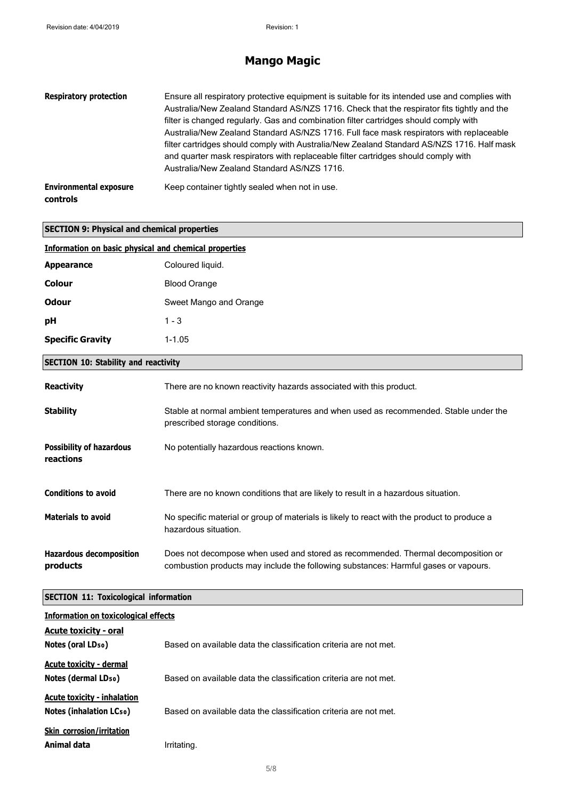f

# **Mango Magic**

| <b>Respiratory protection</b>             | Ensure all respiratory protective equipment is suitable for its intended use and complies with<br>Australia/New Zealand Standard AS/NZS 1716. Check that the respirator fits tightly and the<br>filter is changed regularly. Gas and combination filter cartridges should comply with<br>Australia/New Zealand Standard AS/NZS 1716. Full face mask respirators with replaceable<br>filter cartridges should comply with Australia/New Zealand Standard AS/NZS 1716. Half mask<br>and quarter mask respirators with replaceable filter cartridges should comply with<br>Australia/New Zealand Standard AS/NZS 1716. |
|-------------------------------------------|---------------------------------------------------------------------------------------------------------------------------------------------------------------------------------------------------------------------------------------------------------------------------------------------------------------------------------------------------------------------------------------------------------------------------------------------------------------------------------------------------------------------------------------------------------------------------------------------------------------------|
| <b>Environmental exposure</b><br>controls | Keep container tightly sealed when not in use.                                                                                                                                                                                                                                                                                                                                                                                                                                                                                                                                                                      |

| <b>SECTION 9: Physical and chemical properties</b>           |                                                                                                                                                                         |  |
|--------------------------------------------------------------|-------------------------------------------------------------------------------------------------------------------------------------------------------------------------|--|
| <b>Information on basic physical and chemical properties</b> |                                                                                                                                                                         |  |
| <b>Appearance</b>                                            | Coloured liquid.                                                                                                                                                        |  |
| Colour                                                       | <b>Blood Orange</b>                                                                                                                                                     |  |
| <b>Odour</b>                                                 | Sweet Mango and Orange                                                                                                                                                  |  |
| рH                                                           | $1 - 3$                                                                                                                                                                 |  |
| <b>Specific Gravity</b>                                      | $1 - 1.05$                                                                                                                                                              |  |
| <b>SECTION 10: Stability and reactivity</b>                  |                                                                                                                                                                         |  |
| <b>Reactivity</b>                                            | There are no known reactivity hazards associated with this product.                                                                                                     |  |
| <b>Stability</b>                                             | Stable at normal ambient temperatures and when used as recommended. Stable under the<br>prescribed storage conditions.                                                  |  |
| <b>Possibility of hazardous</b><br>reactions                 | No potentially hazardous reactions known.                                                                                                                               |  |
| <b>Conditions to avoid</b>                                   | There are no known conditions that are likely to result in a hazardous situation.                                                                                       |  |
| <b>Materials to avoid</b>                                    | No specific material or group of materials is likely to react with the product to produce a<br>hazardous situation.                                                     |  |
| <b>Hazardous decomposition</b><br>products                   | Does not decompose when used and stored as recommended. Thermal decomposition or<br>combustion products may include the following substances: Harmful gases or vapours. |  |

### **SECTION 11: Toxicological information**

| <b>Information on toxicological effects</b> |                                                                  |
|---------------------------------------------|------------------------------------------------------------------|
| <b>Acute toxicity - oral</b>                |                                                                  |
| Notes (oral LD <sub>50</sub> )              | Based on available data the classification criteria are not met. |
| Acute toxicity - dermal                     |                                                                  |
| Notes (dermal LD <sub>50</sub> )            | Based on available data the classification criteria are not met. |
| <b>Acute toxicity - inhalation</b>          |                                                                  |
| <b>Notes (inhalation LCso)</b>              | Based on available data the classification criteria are not met. |
| <b>Skin corrosion/irritation</b>            |                                                                  |
| Animal data                                 | Irritating.                                                      |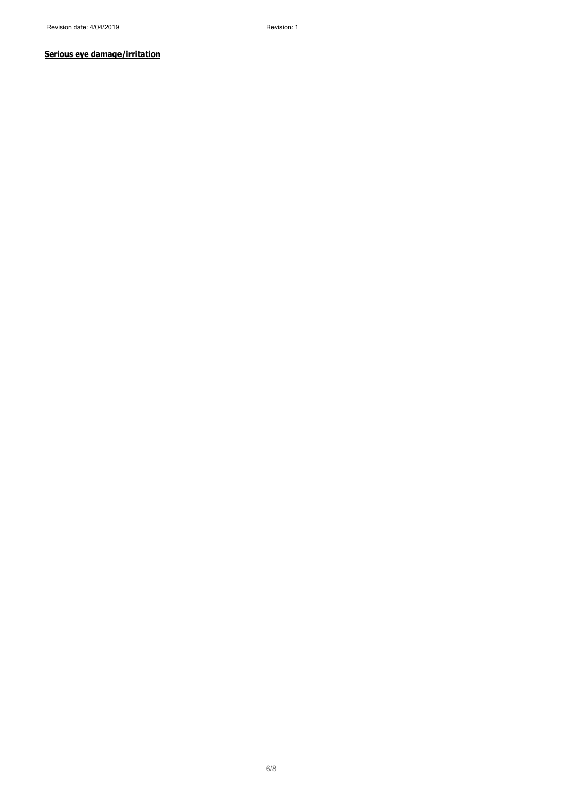### **Serious eye damage/irritation**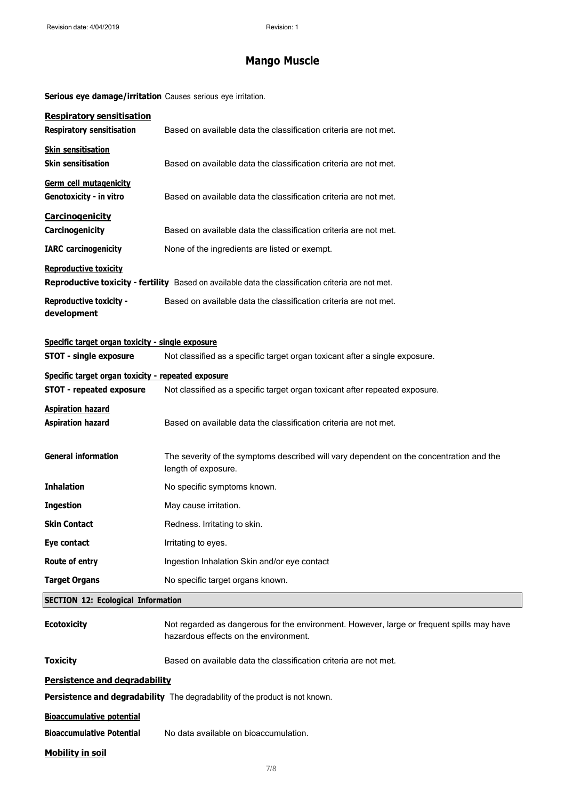# **Mango Muscle**

**Serious eye damage/irritation** Causes serious eye irritation.

| <b>Respiratory sensitisation</b><br><b>Respiratory sensitisation</b>              | Based on available data the classification criteria are not met.                                                                   |
|-----------------------------------------------------------------------------------|------------------------------------------------------------------------------------------------------------------------------------|
| <b>Skin sensitisation</b><br><b>Skin sensitisation</b>                            | Based on available data the classification criteria are not met.                                                                   |
| Germ cell mutagenicity<br>Genotoxicity - in vitro                                 | Based on available data the classification criteria are not met.                                                                   |
| <b>Carcinogenicity</b><br>Carcinogenicity                                         | Based on available data the classification criteria are not met.                                                                   |
| <b>IARC</b> carcinogenicity                                                       | None of the ingredients are listed or exempt.                                                                                      |
| <b>Reproductive toxicity</b>                                                      | Reproductive toxicity - fertility Based on available data the classification criteria are not met.                                 |
| <b>Reproductive toxicity -</b><br>development                                     | Based on available data the classification criteria are not met.                                                                   |
| Specific target organ toxicity - single exposure<br><b>STOT - single exposure</b> | Not classified as a specific target organ toxicant after a single exposure.                                                        |
| Specific target organ toxicity - repeated exposure                                |                                                                                                                                    |
| <b>STOT - repeated exposure</b>                                                   | Not classified as a specific target organ toxicant after repeated exposure.                                                        |
| <b>Aspiration hazard</b><br><b>Aspiration hazard</b>                              | Based on available data the classification criteria are not met.                                                                   |
| <b>General information</b>                                                        | The severity of the symptoms described will vary dependent on the concentration and the<br>length of exposure.                     |
| <b>Inhalation</b>                                                                 | No specific symptoms known.                                                                                                        |
| <b>Ingestion</b>                                                                  | May cause irritation.                                                                                                              |
| <b>Skin Contact</b>                                                               | Redness. Irritating to skin.                                                                                                       |
| Eye contact                                                                       | Irritating to eyes.                                                                                                                |
| Route of entry                                                                    | Ingestion Inhalation Skin and/or eye contact                                                                                       |
| <b>Target Organs</b>                                                              | No specific target organs known.                                                                                                   |
| <b>SECTION 12: Ecological Information</b>                                         |                                                                                                                                    |
| <b>Ecotoxicity</b>                                                                | Not regarded as dangerous for the environment. However, large or frequent spills may have<br>hazardous effects on the environment. |
| <b>Toxicity</b>                                                                   | Based on available data the classification criteria are not met.                                                                   |
| <b>Persistence and degradability</b>                                              |                                                                                                                                    |
|                                                                                   | Persistence and degradability The degradability of the product is not known.                                                       |
| <b>Bioaccumulative potential</b>                                                  |                                                                                                                                    |
| <b>Bioaccumulative Potential</b>                                                  | No data available on bioaccumulation.                                                                                              |
| <b>Mobility in soil</b>                                                           |                                                                                                                                    |

Π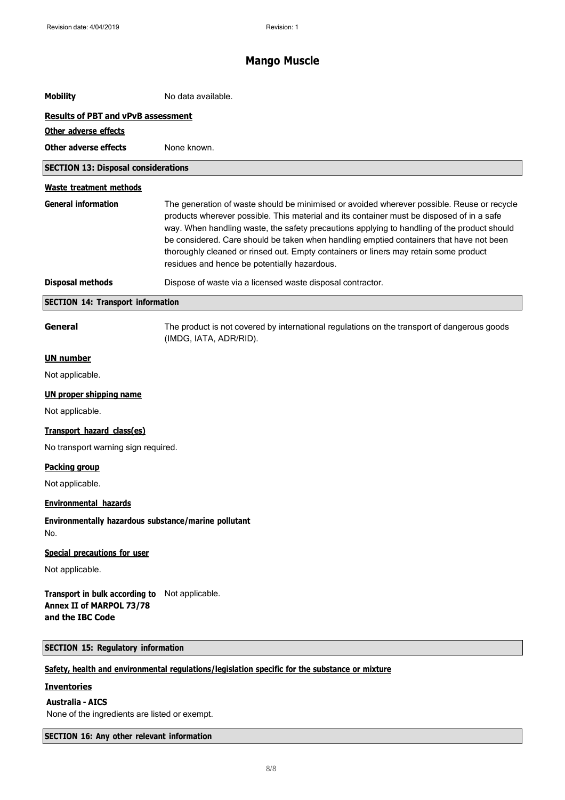# **Mango Muscle**

| <b>Mobility</b>                                                                                | No data available.                                                                                                                                                                                                                                                                                                                                                                                                                                                                                                        |
|------------------------------------------------------------------------------------------------|---------------------------------------------------------------------------------------------------------------------------------------------------------------------------------------------------------------------------------------------------------------------------------------------------------------------------------------------------------------------------------------------------------------------------------------------------------------------------------------------------------------------------|
| <b>Results of PBT and vPvB assessment</b>                                                      |                                                                                                                                                                                                                                                                                                                                                                                                                                                                                                                           |
| Other adverse effects                                                                          |                                                                                                                                                                                                                                                                                                                                                                                                                                                                                                                           |
| <b>Other adverse effects</b>                                                                   | None known.                                                                                                                                                                                                                                                                                                                                                                                                                                                                                                               |
| <b>SECTION 13: Disposal considerations</b>                                                     |                                                                                                                                                                                                                                                                                                                                                                                                                                                                                                                           |
| <b>Waste treatment methods</b>                                                                 |                                                                                                                                                                                                                                                                                                                                                                                                                                                                                                                           |
| <b>General information</b>                                                                     | The generation of waste should be minimised or avoided wherever possible. Reuse or recycle<br>products wherever possible. This material and its container must be disposed of in a safe<br>way. When handling waste, the safety precautions applying to handling of the product should<br>be considered. Care should be taken when handling emptied containers that have not been<br>thoroughly cleaned or rinsed out. Empty containers or liners may retain some product<br>residues and hence be potentially hazardous. |
| <b>Disposal methods</b>                                                                        | Dispose of waste via a licensed waste disposal contractor.                                                                                                                                                                                                                                                                                                                                                                                                                                                                |
| <b>SECTION 14: Transport information</b>                                                       |                                                                                                                                                                                                                                                                                                                                                                                                                                                                                                                           |
| General                                                                                        | The product is not covered by international regulations on the transport of dangerous goods<br>(IMDG, IATA, ADR/RID).                                                                                                                                                                                                                                                                                                                                                                                                     |
| <b>UN number</b>                                                                               |                                                                                                                                                                                                                                                                                                                                                                                                                                                                                                                           |
| Not applicable.                                                                                |                                                                                                                                                                                                                                                                                                                                                                                                                                                                                                                           |
| <b>UN proper shipping name</b>                                                                 |                                                                                                                                                                                                                                                                                                                                                                                                                                                                                                                           |
| Not applicable.                                                                                |                                                                                                                                                                                                                                                                                                                                                                                                                                                                                                                           |
| Transport hazard class(es)                                                                     |                                                                                                                                                                                                                                                                                                                                                                                                                                                                                                                           |
| No transport warning sign required.                                                            |                                                                                                                                                                                                                                                                                                                                                                                                                                                                                                                           |
| <b>Packing group</b>                                                                           |                                                                                                                                                                                                                                                                                                                                                                                                                                                                                                                           |
| Not applicable.                                                                                |                                                                                                                                                                                                                                                                                                                                                                                                                                                                                                                           |
| <b>Environmental hazards</b>                                                                   |                                                                                                                                                                                                                                                                                                                                                                                                                                                                                                                           |
| Environmentally hazardous substance/marine pollutant<br>No.                                    |                                                                                                                                                                                                                                                                                                                                                                                                                                                                                                                           |
| <b>Special precautions for user</b>                                                            |                                                                                                                                                                                                                                                                                                                                                                                                                                                                                                                           |
| Not applicable.                                                                                |                                                                                                                                                                                                                                                                                                                                                                                                                                                                                                                           |
| Transport in bulk according to Not applicable.<br>Annex II of MARPOL 73/78<br>and the IBC Code |                                                                                                                                                                                                                                                                                                                                                                                                                                                                                                                           |
| <b>SECTION 15: Regulatory information</b>                                                      |                                                                                                                                                                                                                                                                                                                                                                                                                                                                                                                           |
|                                                                                                | Safety, health and environmental regulations/legislation specific for the substance or mixture                                                                                                                                                                                                                                                                                                                                                                                                                            |
| <b>Inventories</b>                                                                             |                                                                                                                                                                                                                                                                                                                                                                                                                                                                                                                           |
| <b>Australia - AICS</b>                                                                        |                                                                                                                                                                                                                                                                                                                                                                                                                                                                                                                           |

None of the ingredients are listed or exempt.

**SECTION 16: Any other relevant information**